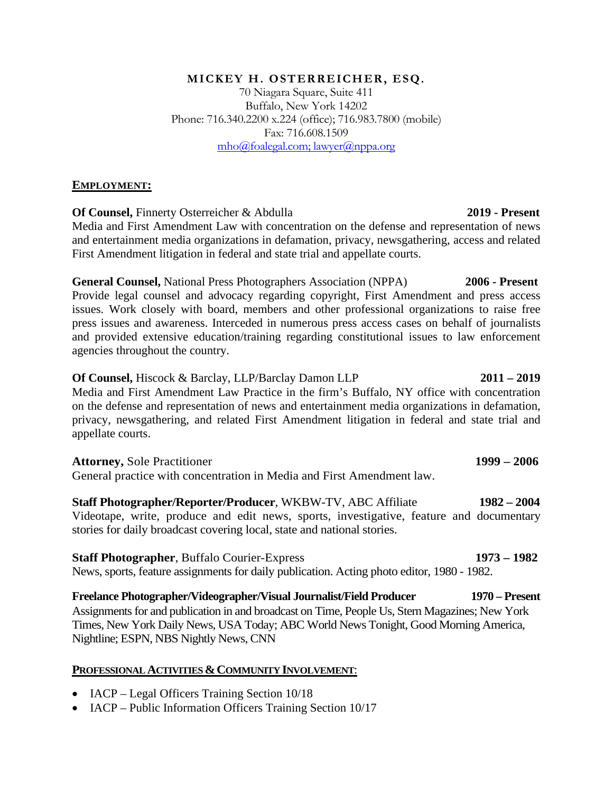### MICKEY H. OSTERREICHER, ESQ.

70 Niagara Square, Suite 411 Buffalo, New York 14202 Phone: 716.340.2200 x.224 (office); 716.983.7800 (mobile) Fax: 716.608.1509 mho@foalegal.com; lawyer@nppa.org

## **EMPLOYMENT:**

**Of Counsel,** Finnerty Osterreicher & Abdulla **2019 - Present** 

Media and First Amendment Law with concentration on the defense and representation of news and entertainment media organizations in defamation, privacy, newsgathering, access and related First Amendment litigation in federal and state trial and appellate courts.

**General Counsel,** National Press Photographers Association (NPPA) **2006 - Present** Provide legal counsel and advocacy regarding copyright, First Amendment and press access issues. Work closely with board, members and other professional organizations to raise free press issues and awareness. Interceded in numerous press access cases on behalf of journalists and provided extensive education/training regarding constitutional issues to law enforcement agencies throughout the country.

**Of Counsel,** Hiscock & Barclay, LLP/Barclay Damon LLP **2011 – 2019**  Media and First Amendment Law Practice in the firm's Buffalo, NY office with concentration on the defense and representation of news and entertainment media organizations in defamation, privacy, newsgathering, and related First Amendment litigation in federal and state trial and appellate courts.

### **Attorney,** Sole Practitioner **1999 – 2006**

General practice with concentration in Media and First Amendment law.

**Staff Photographer/Reporter/Producer**, WKBW-TV, ABC Affiliate **1982 – 2004** Videotape, write, produce and edit news, sports, investigative, feature and documentary stories for daily broadcast covering local, state and national stories.

## **Staff Photographer**, Buffalo Courier-Express **1973 – 1982**

News, sports, feature assignments for daily publication. Acting photo editor, 1980 - 1982.

**Freelance Photographer/Videographer/Visual Journalist/Field Producer 1970 – Present**  Assignments for and publication in and broadcast on Time, People Us, Stern Magazines; New York Times, New York Daily News, USA Today; ABC World News Tonight, Good Morning America, Nightline; ESPN, NBS Nightly News, CNN

### **PROFESSIONAL ACTIVITIES &COMMUNITY INVOLVEMENT**:

- IACP Legal Officers Training Section 10/18
- IACP Public Information Officers Training Section 10/17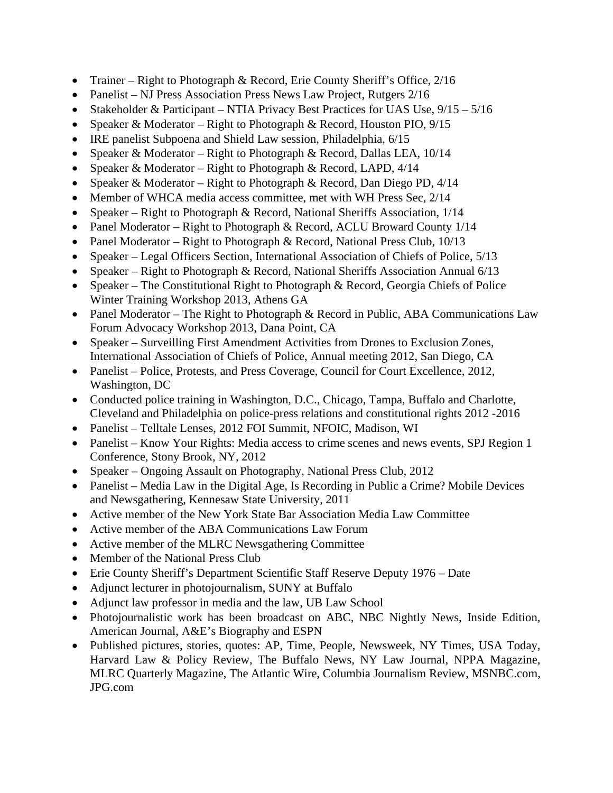- Trainer Right to Photograph & Record, Erie County Sheriff's Office, 2/16
- Panelist NJ Press Association Press News Law Project, Rutgers 2/16
- Stakeholder & Participant NTIA Privacy Best Practices for UAS Use,  $9/15 5/16$
- Speaker & Moderator Right to Photograph & Record, Houston PIO,  $9/15$
- IRE panelist Subpoena and Shield Law session, Philadelphia, 6/15
- Speaker & Moderator Right to Photograph & Record, Dallas LEA, 10/14
- Speaker & Moderator Right to Photograph & Record, LAPD,  $4/14$
- Speaker & Moderator Right to Photograph & Record, Dan Diego PD,  $4/14$
- Member of WHCA media access committee, met with WH Press Sec, 2/14
- Speaker Right to Photograph & Record, National Sheriffs Association, 1/14
- Panel Moderator Right to Photograph & Record, ACLU Broward County 1/14
- Panel Moderator Right to Photograph & Record, National Press Club, 10/13
- Speaker Legal Officers Section, International Association of Chiefs of Police, 5/13
- Speaker Right to Photograph & Record, National Sheriffs Association Annual 6/13
- Speaker The Constitutional Right to Photograph & Record, Georgia Chiefs of Police Winter Training Workshop 2013, Athens GA
- Panel Moderator The Right to Photograph & Record in Public, ABA Communications Law Forum Advocacy Workshop 2013, Dana Point, CA
- Speaker Surveilling First Amendment Activities from Drones to Exclusion Zones, International Association of Chiefs of Police, Annual meeting 2012, San Diego, CA
- Panelist Police, Protests, and Press Coverage, Council for Court Excellence, 2012, Washington, DC
- Conducted police training in Washington, D.C., Chicago, Tampa, Buffalo and Charlotte, Cleveland and Philadelphia on police-press relations and constitutional rights 2012 -2016
- Panelist Telltale Lenses, 2012 FOI Summit, NFOIC, Madison, WI
- Panelist Know Your Rights: Media access to crime scenes and news events, SPJ Region 1 Conference, Stony Brook, NY, 2012
- Speaker Ongoing Assault on Photography, National Press Club, 2012
- Panelist Media Law in the Digital Age, Is Recording in Public a Crime? Mobile Devices and Newsgathering, Kennesaw State University, 2011
- Active member of the New York State Bar Association Media Law Committee
- Active member of the ABA Communications Law Forum
- Active member of the MLRC Newsgathering Committee
- Member of the National Press Club
- Erie County Sheriff's Department Scientific Staff Reserve Deputy 1976 Date
- Adjunct lecturer in photojournalism, SUNY at Buffalo
- Adjunct law professor in media and the law, UB Law School
- Photojournalistic work has been broadcast on ABC, NBC Nightly News, Inside Edition, American Journal, A&E's Biography and ESPN
- Published pictures, stories, quotes: AP, Time, People, Newsweek, NY Times, USA Today, Harvard Law & Policy Review, The Buffalo News, NY Law Journal, NPPA Magazine, MLRC Quarterly Magazine, The Atlantic Wire, Columbia Journalism Review, MSNBC.com, JPG.com